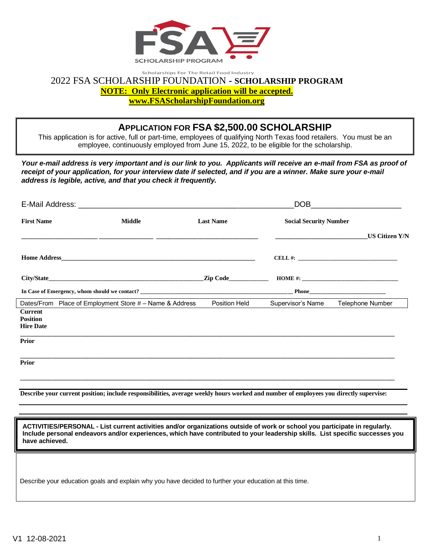

#### Scholarships For The Retail Food Industry 2022 FSA SCHOLARSHIP FOUNDATION **- SCHOLARSHIP PROGRAM NOTE: Only Electronic application will be accepted. www.FSAScholarshipFoundation.org**

## **APPLICATION FOR FSA \$2,500.00 SCHOLARSHIP**

This application is for active, full or part-time, employees of qualifying North Texas food retailers. You must be an employee, continuously employed from June 15, 2022, to be eligible for the scholarship.

#### *Your e-mail address is very important and is our link to you. Applicants will receive an e-mail from FSA as proof of receipt of your application, for your interview date if selected, and if you are a winner. Make sure your e-mail address is legible, active, and that you check it frequently.*

|                                                       |                                                                                                                                                                                                                                                            |                       | DOB                           |                                    |  |  |
|-------------------------------------------------------|------------------------------------------------------------------------------------------------------------------------------------------------------------------------------------------------------------------------------------------------------------|-----------------------|-------------------------------|------------------------------------|--|--|
| <b>First Name</b>                                     | <b>Middle</b>                                                                                                                                                                                                                                              | <b>Last Name</b>      | <b>Social Security Number</b> |                                    |  |  |
|                                                       |                                                                                                                                                                                                                                                            |                       |                               | <b>US Citizen Y/N</b>              |  |  |
|                                                       |                                                                                                                                                                                                                                                            |                       |                               |                                    |  |  |
|                                                       |                                                                                                                                                                                                                                                            | Zip Code_____________ |                               |                                    |  |  |
|                                                       |                                                                                                                                                                                                                                                            |                       |                               |                                    |  |  |
|                                                       | Dates/From Place of Employment Store # - Name & Address                                                                                                                                                                                                    | Position Held         |                               | Supervisor's Name Telephone Number |  |  |
| <b>Current</b><br><b>Position</b><br><b>Hire Date</b> |                                                                                                                                                                                                                                                            |                       |                               |                                    |  |  |
| Prior                                                 |                                                                                                                                                                                                                                                            |                       |                               |                                    |  |  |
| <b>Prior</b>                                          |                                                                                                                                                                                                                                                            |                       |                               |                                    |  |  |
|                                                       | ,我们也不能在这里的时候,我们也不能会在这里,我们也不能会在这里,我们也不能会不能会不能会不能会。""我们,我们也不能会不能会不能会不能会不能会不能会不能会不能<br>Describe your current position; include responsibilities, average weekly hours worked and number of employees you directly supervise:                                  |                       |                               |                                    |  |  |
|                                                       |                                                                                                                                                                                                                                                            |                       |                               |                                    |  |  |
| have achieved.                                        | ACTIVITIES/PERSONAL - List current activities and/or organizations outside of work or school you participate in regularly.<br>Include personal endeavors and/or experiences, which have contributed to your leadership skills. List specific successes you |                       |                               |                                    |  |  |
|                                                       |                                                                                                                                                                                                                                                            |                       |                               |                                    |  |  |

Describe your education goals and explain why you have decided to further your education at this time.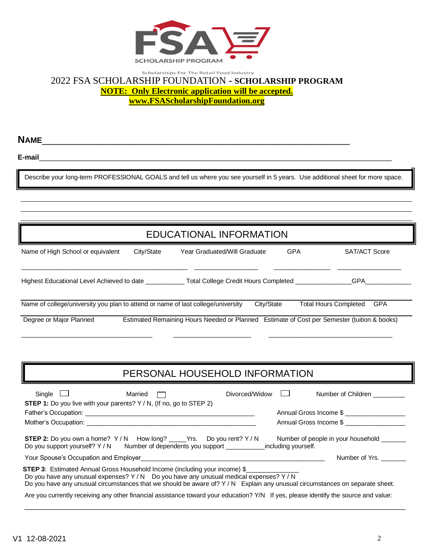

## Scholarships For The Retail Food Industry 2022 FSA SCHOLARSHIP FOUNDATION **- SCHOLARSHIP PROGRAM NOTE: Only Electronic application will be accepted. www.FSAScholarshipFoundation.org**

**NAME**\_\_\_\_\_\_\_\_\_\_\_\_\_\_\_\_\_\_\_\_\_\_\_\_\_\_\_\_\_\_\_\_\_\_\_\_\_\_\_\_\_\_\_\_\_\_\_\_\_\_\_\_\_\_\_\_

**E-mail E-mail** 

Describe your long-term PROFESSIONAL GOALS and tell us where you see yourself in 5 years. Use additional sheet for more space.

| EDUCATIONAL INFORMATION                                                                                                                      |            |                              |  |            |               |  |  |
|----------------------------------------------------------------------------------------------------------------------------------------------|------------|------------------------------|--|------------|---------------|--|--|
| Name of High School or equivalent                                                                                                            | City/State | Year Graduated/Will Graduate |  | <b>GPA</b> | SAT/ACT Score |  |  |
| Highest Educational Level Achieved to date __________<br>Total College Credit Hours Completed                                                |            |                              |  |            | <b>GPA</b>    |  |  |
| Name of college/university you plan to attend or name of last college/university<br><b>Total Hours Completed</b><br>City/State<br><b>GPA</b> |            |                              |  |            |               |  |  |
| Degree or Major Planned<br>Estimated Remaining Hours Needed or Planned Estimate of Cost per Semester (tuition & books)                       |            |                              |  |            |               |  |  |

\_\_\_\_\_\_\_\_\_\_\_\_\_\_\_\_\_\_\_\_\_\_\_\_\_\_\_\_\_\_\_\_\_\_\_\_\_ \_\_\_\_\_\_\_\_\_\_\_\_\_\_\_\_\_\_\_\_\_\_ \_\_\_\_\_\_\_\_\_\_\_\_\_\_\_\_\_\_\_\_\_\_\_\_\_\_\_\_\_\_\_\_\_\_\_

| PERSONAL HOUSEHOLD INFORMATION                                                                                                                                                                                                                                                                                |                                                                                       |                |                        |                        |  |  |
|---------------------------------------------------------------------------------------------------------------------------------------------------------------------------------------------------------------------------------------------------------------------------------------------------------------|---------------------------------------------------------------------------------------|----------------|------------------------|------------------------|--|--|
| Single<br>$\mathbf{1}$                                                                                                                                                                                                                                                                                        | Married<br><b>STEP 1:</b> Do you live with your parents? Y / N, (If no, go to STEP 2) | Divorced/Widow | $\Box$                 | Number of Children     |  |  |
|                                                                                                                                                                                                                                                                                                               |                                                                                       |                |                        | Annual Gross Income \$ |  |  |
|                                                                                                                                                                                                                                                                                                               |                                                                                       |                | Annual Gross Income \$ |                        |  |  |
| <b>STEP 2:</b> Do you own a home? Y/N How long? _____ Yrs. Do you rent? Y/N<br>Number of people in your household _______<br>Do you support yourself? Y / N Number of dependents you support _________________including yourself.                                                                             |                                                                                       |                |                        |                        |  |  |
| Your Spouse's Occupation and Employer                                                                                                                                                                                                                                                                         |                                                                                       |                |                        | Number of Yrs.         |  |  |
| <b>STEP 3:</b> Estimated Annual Gross Household Income (including your income) \$<br>Do you have any unusual expenses? Y / N  Do you have any unusual medical expenses? Y / N<br>Do you have any unusual circumstances that we should be aware of? Y / N Explain any unusual circumstances on separate sheet. |                                                                                       |                |                        |                        |  |  |
| Are you currently receiving any other financial assistance toward your education? Y/N If yes, please identify the source and value:                                                                                                                                                                           |                                                                                       |                |                        |                        |  |  |

**\_\_\_\_\_\_\_\_\_\_\_\_\_\_\_\_\_\_\_\_\_\_\_\_\_\_\_\_\_\_\_\_\_\_\_\_\_\_\_\_\_\_\_\_\_\_\_\_\_\_\_\_\_\_\_\_\_\_\_\_\_\_\_\_\_\_\_\_\_\_\_\_\_\_\_\_\_\_\_\_\_\_\_\_\_\_\_\_\_\_\_\_\_\_\_\_\_\_\_\_\_\_\_\_\_\_\_\_\_\_\_\_\_\_\_\_\_\_\_\_**